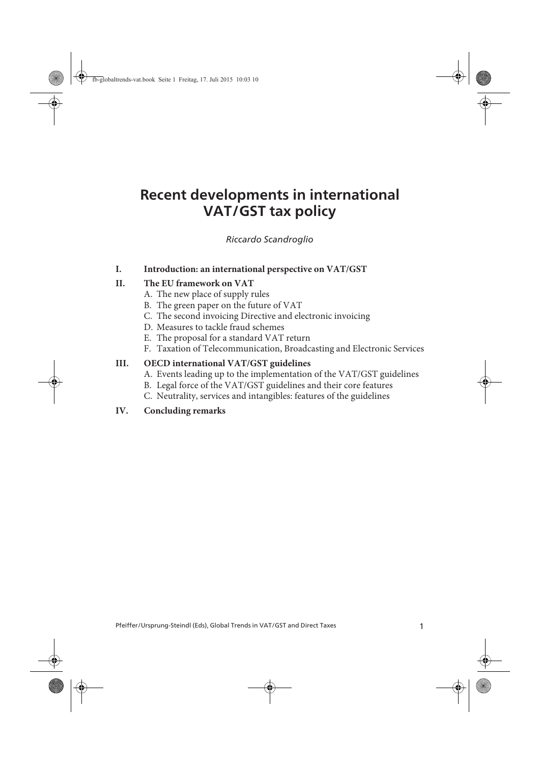# **Recent developments in international VAT/GST tax policy**

Riccardo Scandroglio

#### **I. Introduction: an international perspective on VAT/GST**

#### **II. The EU framework on VAT**

- A. The new place of supply rules
- B. The green paper on the future of VAT
- C. The second invoicing Directive and electronic invoicing
- D. Measures to tackle fraud schemes
- E. The proposal for a standard VAT return
- F. Taxation of Telecommunication, Broadcasting and Electronic Services

#### **III. OECD international VAT/GST guidelines**

- A. Events leading up to the implementation of the VAT/GST guidelines
- B. Legal force of the VAT/GST guidelines and their core features
- C. Neutrality, services and intangibles: features of the guidelines

#### **IV. Concluding remarks**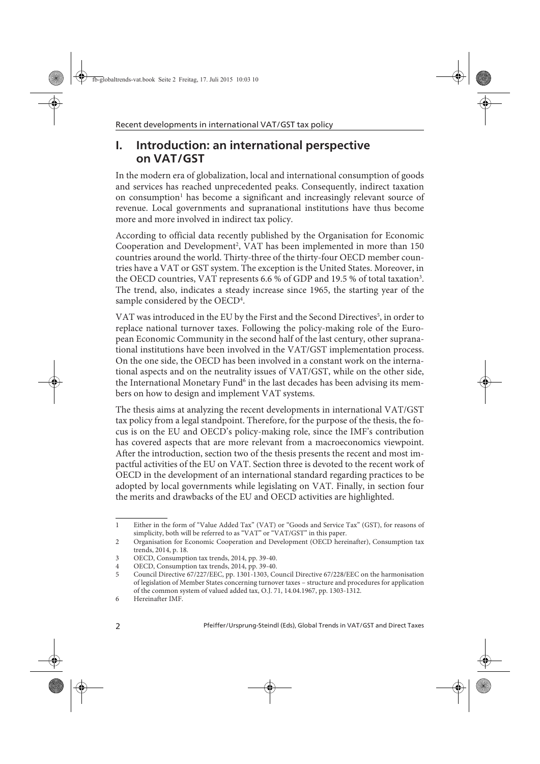## **I. Introduction: an international perspective on VAT/GST**

In the modern era of globalization, local and international consumption of goods and services has reached unprecedented peaks. Consequently, indirect taxation on consumption<sup>1</sup> has become a significant and increasingly relevant source of revenue. Local governments and supranational institutions have thus become more and more involved in indirect tax policy.

According to official data recently published by the Organisation for Economic Cooperation and Development<sup>2</sup>, VAT has been implemented in more than 150 countries around the world. Thirty-three of the thirty-four OECD member countries have a VAT or GST system. The exception is the United States. Moreover, in the OECD countries, VAT represents 6.6 % of GDP and 19.5 % of total taxation<sup>3</sup>. The trend, also, indicates a steady increase since 1965, the starting year of the sample considered by the  $\mathrm{OECD}^4$ .

VAT was introduced in the EU by the First and the Second Directives $^5$ , in order to replace national turnover taxes. Following the policy-making role of the European Economic Community in the second half of the last century, other supranational institutions have been involved in the VAT/GST implementation process. On the one side, the OECD has been involved in a constant work on the international aspects and on the neutrality issues of VAT/GST, while on the other side, the International Monetary Fund<sup>6</sup> in the last decades has been advising its members on how to design and implement VAT systems.

The thesis aims at analyzing the recent developments in international VAT/GST tax policy from a legal standpoint. Therefore, for the purpose of the thesis, the focus is on the EU and OECD's policy-making role, since the IMF's contribution has covered aspects that are more relevant from a macroeconomics viewpoint. After the introduction, section two of the thesis presents the recent and most impactful activities of the EU on VAT. Section three is devoted to the recent work of OECD in the development of an international standard regarding practices to be adopted by local governments while legislating on VAT. Finally, in section four the merits and drawbacks of the EU and OECD activities are highlighted.

<sup>1</sup> Either in the form of "Value Added Tax" (VAT) or "Goods and Service Tax" (GST), for reasons of simplicity, both will be referred to as "VAT" or "VAT/GST" in this paper.

<sup>2</sup> Organisation for Economic Cooperation and Development (OECD hereinafter), Consumption tax trends, 2014, p. 18.

<sup>3</sup> OECD, Consumption tax trends, 2014, pp. 39-40.

<sup>4</sup> OECD, Consumption tax trends, 2014, pp. 39-40.

<sup>5</sup> Council Directive 67/227/EEC, pp. 1301-1303, Council Directive 67/228/EEC on the harmonisation of legislation of Member States concerning turnover taxes – structure and procedures for application of the common system of valued added tax, O.J. 71, 14.04.1967, pp. 1303-1312.

<sup>6</sup> Hereinafter IMF.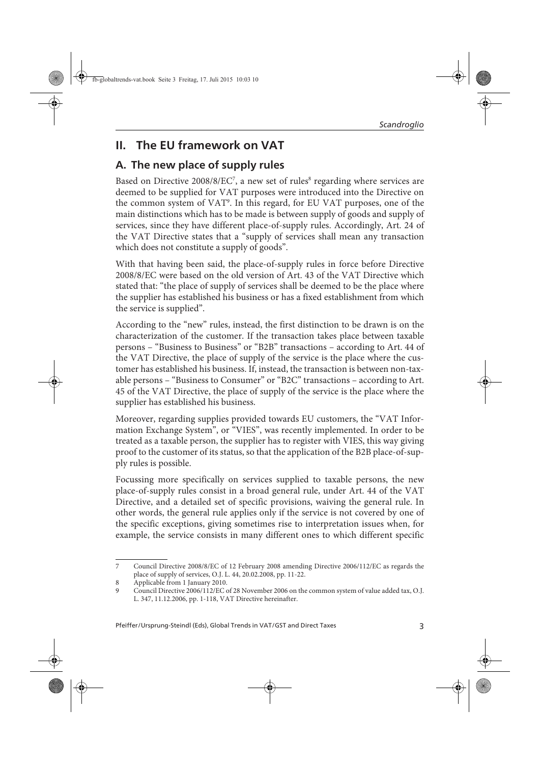## **II. The EU framework on VAT**

## **A. The new place of supply rules**

Based on Directive 2008/8/EC<sup>7</sup>, a new set of rules<sup>8</sup> regarding where services are deemed to be supplied for VAT purposes were introduced into the Directive on the common system of VAT°. In this regard, for EU VAT purposes, one of the main distinctions which has to be made is between supply of goods and supply of services, since they have different place-of-supply rules. Accordingly, Art. 24 of the VAT Directive states that a "supply of services shall mean any transaction which does not constitute a supply of goods".

With that having been said, the place-of-supply rules in force before Directive 2008/8/EC were based on the old version of Art. 43 of the VAT Directive which stated that: "the place of supply of services shall be deemed to be the place where the supplier has established his business or has a fixed establishment from which the service is supplied".

According to the "new" rules, instead, the first distinction to be drawn is on the characterization of the customer. If the transaction takes place between taxable persons – "Business to Business" or "B2B" transactions – according to Art. 44 of the VAT Directive, the place of supply of the service is the place where the customer has established his business. If, instead, the transaction is between non-taxable persons – "Business to Consumer" or "B2C" transactions – according to Art. 45 of the VAT Directive, the place of supply of the service is the place where the supplier has established his business.

Moreover, regarding supplies provided towards EU customers, the "VAT Information Exchange System", or "VIES", was recently implemented. In order to be treated as a taxable person, the supplier has to register with VIES, this way giving proof to the customer of its status, so that the application of the B2B place-of-supply rules is possible.

Focussing more specifically on services supplied to taxable persons, the new place-of-supply rules consist in a broad general rule, under Art. 44 of the VAT Directive, and a detailed set of specific provisions, waiving the general rule. In other words, the general rule applies only if the service is not covered by one of the specific exceptions, giving sometimes rise to interpretation issues when, for example, the service consists in many different ones to which different specific

<sup>7</sup> Council Directive 2008/8/EC of 12 February 2008 amending Directive 2006/112/EC as regards the place of supply of services, O.J. L. 44, 20.02.2008, pp. 11-22.

<sup>8</sup> Applicable from 1 January 2010.

<sup>9</sup> Council Directive 2006/112/EC of 28 November 2006 on the common system of value added tax, O.J. L. 347, 11.12.2006, pp. 1-118, VAT Directive hereinafter.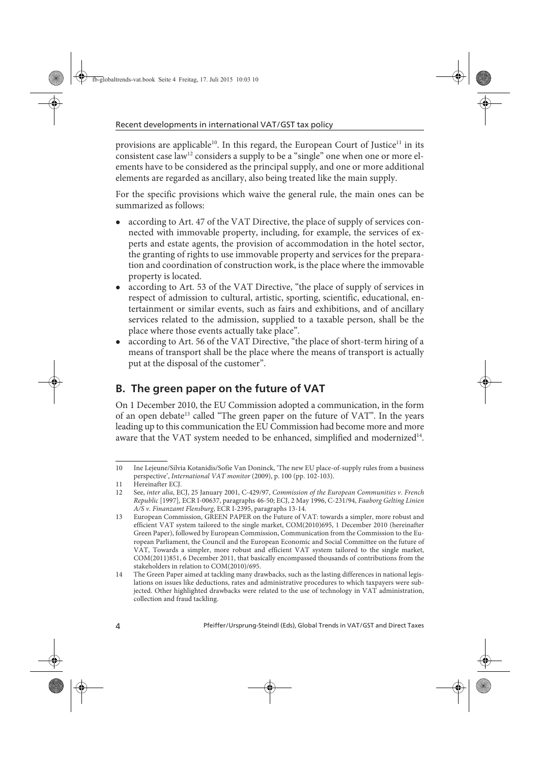provisions are applicable<sup>10</sup>. In this regard, the European Court of Justice<sup>11</sup> in its consistent case  $\arccos{1}{aw}$ <sup>12</sup> considers a supply to be a "single" one when one or more elements have to be considered as the principal supply, and one or more additional elements are regarded as ancillary, also being treated like the main supply.

For the specific provisions which waive the general rule, the main ones can be summarized as follows:

- according to Art. 47 of the VAT Directive, the place of supply of services connected with immovable property, including, for example, the services of experts and estate agents, the provision of accommodation in the hotel sector, the granting of rights to use immovable property and services for the preparation and coordination of construction work, is the place where the immovable property is located.
- according to Art. 53 of the VAT Directive, "the place of supply of services in respect of admission to cultural, artistic, sporting, scientific, educational, entertainment or similar events, such as fairs and exhibitions, and of ancillary services related to the admission, supplied to a taxable person, shall be the place where those events actually take place".
- according to Art. 56 of the VAT Directive, "the place of short-term hiring of a means of transport shall be the place where the means of transport is actually put at the disposal of the customer".

## **B. The green paper on the future of VAT**

On 1 December 2010, the EU Commission adopted a communication, in the form of an open debate<sup>13</sup> called "The green paper on the future of VAT". In the years leading up to this communication the EU Commission had become more and more aware that the VAT system needed to be enhanced, simplified and modernized<sup>14</sup>.

<sup>10</sup> Ine Lejeune/Silvia Kotanidis/Sofie Van Doninck, 'The new EU place-of-supply rules from a business perspective', International VAT monitor (2009), p. 100 (pp. 102-103).

<sup>11</sup> Hereinafter ECJ.

<sup>12</sup> See, inter alia, ECJ, 25 January 2001, C-429/97, Commission of the European Communities v. French Republic [1997], ECR I-00637, paragraphs 46-50; ECJ, 2 May 1996, C-231/94, Faaborg Gelting Linien A/S v. Finanzamt Flensburg, ECR I-2395, paragraphs 13-14.

<sup>13</sup> European Commission, GREEN PAPER on the Future of VAT: towards a simpler, more robust and efficient VAT system tailored to the single market, COM(2010)695, 1 December 2010 (hereinafter Green Paper), followed by European Commission, Communication from the Commission to the European Parliament, the Council and the European Economic and Social Committee on the future of VAT, Towards a simpler, more robust and efficient VAT system tailored to the single market, COM(2011)851, 6 December 2011, that basically encompassed thousands of contributions from the stakeholders in relation to COM(2010)/695.

<sup>14</sup> The Green Paper aimed at tackling many drawbacks, such as the lasting differences in national legislations on issues like deductions, rates and administrative procedures to which taxpayers were subjected. Other highlighted drawbacks were related to the use of technology in VAT administration, collection and fraud tackling.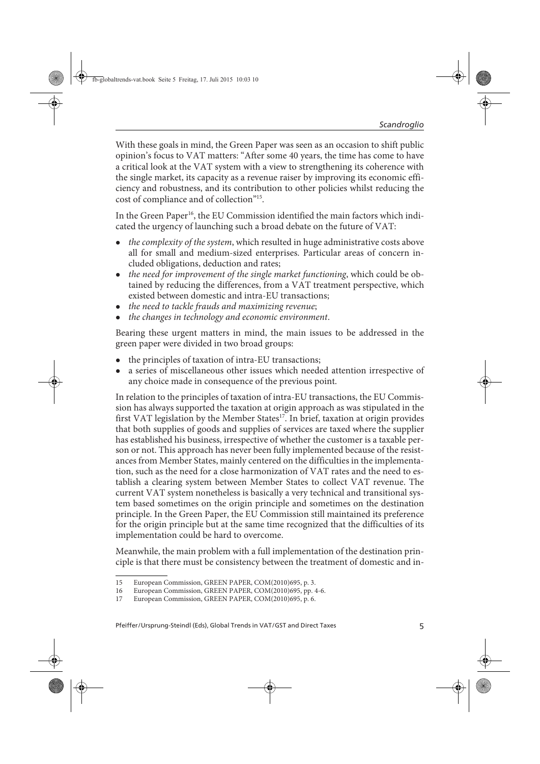With these goals in mind, the Green Paper was seen as an occasion to shift public opinion's focus to VAT matters: "After some 40 years, the time has come to have a critical look at the VAT system with a view to strengthening its coherence with the single market, its capacity as a revenue raiser by improving its economic efficiency and robustness, and its contribution to other policies whilst reducing the cost of compliance and of collection"15.

In the Green Paper<sup>16</sup>, the EU Commission identified the main factors which indicated the urgency of launching such a broad debate on the future of VAT:

- the complexity of the system, which resulted in huge administrative costs above all for small and medium-sized enterprises. Particular areas of concern included obligations, deduction and rates;
- the need for improvement of the single market functioning, which could be obtained by reducing the differences, from a VAT treatment perspective, which existed between domestic and intra-EU transactions;
- the need to tackle frauds and maximizing revenue;
- the changes in technology and economic environment.

Bearing these urgent matters in mind, the main issues to be addressed in the green paper were divided in two broad groups:

- the principles of taxation of intra-EU transactions;
- a series of miscellaneous other issues which needed attention irrespective of any choice made in consequence of the previous point.

In relation to the principles of taxation of intra-EU transactions, the EU Commission has always supported the taxation at origin approach as was stipulated in the first VAT legislation by the Member States<sup>17</sup>. In brief, taxation at origin provides that both supplies of goods and supplies of services are taxed where the supplier has established his business, irrespective of whether the customer is a taxable person or not. This approach has never been fully implemented because of the resistances from Member States, mainly centered on the difficulties in the implementation, such as the need for a close harmonization of VAT rates and the need to establish a clearing system between Member States to collect VAT revenue. The current VAT system nonetheless is basically a very technical and transitional system based sometimes on the origin principle and sometimes on the destination principle. In the Green Paper, the EU Commission still maintained its preference for the origin principle but at the same time recognized that the difficulties of its implementation could be hard to overcome.

Meanwhile, the main problem with a full implementation of the destination principle is that there must be consistency between the treatment of domestic and in-

<sup>15</sup> European Commission, GREEN PAPER, COM(2010)695, p. 3.

<sup>16</sup> European Commission, GREEN PAPER, COM(2010)695, pp. 4-6.

<sup>17</sup> European Commission, GREEN PAPER, COM(2010)695, p. 6.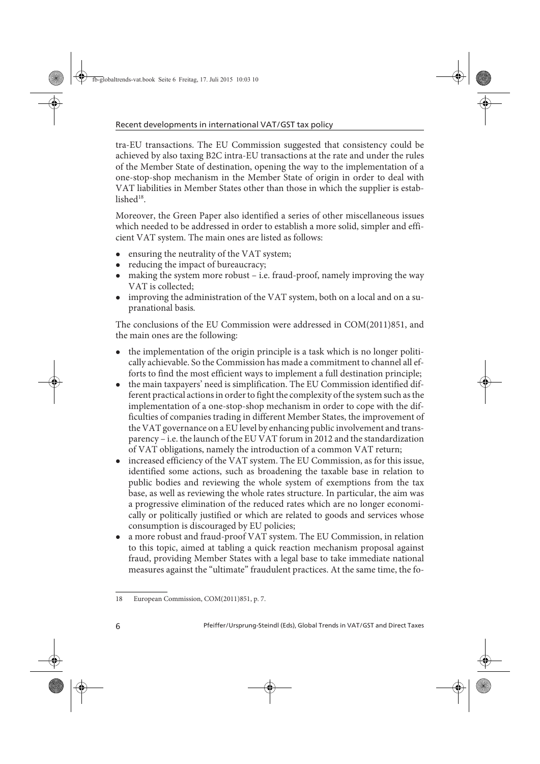tra-EU transactions. The EU Commission suggested that consistency could be achieved by also taxing B2C intra-EU transactions at the rate and under the rules of the Member State of destination, opening the way to the implementation of a one-stop-shop mechanism in the Member State of origin in order to deal with VAT liabilities in Member States other than those in which the supplier is established $18$ .

Moreover, the Green Paper also identified a series of other miscellaneous issues which needed to be addressed in order to establish a more solid, simpler and efficient VAT system. The main ones are listed as follows:

- ensuring the neutrality of the VAT system;
- reducing the impact of bureaucracy;
- making the system more robust i.e. fraud-proof, namely improving the way VAT is collected;
- improving the administration of the VAT system, both on a local and on a supranational basis.

The conclusions of the EU Commission were addressed in COM(2011)851, and the main ones are the following:

- $\bullet$  the implementation of the origin principle is a task which is no longer politically achievable. So the Commission has made a commitment to channel all efforts to find the most efficient ways to implement a full destination principle;
- the main taxpayers' need is simplification. The EU Commission identified different practical actions in order to fight the complexity of the system such as the implementation of a one-stop-shop mechanism in order to cope with the difficulties of companies trading in different Member States, the improvement of the VAT governance on a EU level by enhancing public involvement and transparency – i.e. the launch of the EU VAT forum in 2012 and the standardization of VAT obligations, namely the introduction of a common VAT return;
- increased efficiency of the VAT system. The EU Commission, as for this issue, identified some actions, such as broadening the taxable base in relation to public bodies and reviewing the whole system of exemptions from the tax base, as well as reviewing the whole rates structure. In particular, the aim was a progressive elimination of the reduced rates which are no longer economically or politically justified or which are related to goods and services whose consumption is discouraged by EU policies;
- a more robust and fraud-proof VAT system. The EU Commission, in relation to this topic, aimed at tabling a quick reaction mechanism proposal against fraud, providing Member States with a legal base to take immediate national measures against the "ultimate" fraudulent practices. At the same time, the fo-

<sup>18</sup> European Commission, COM(2011)851, p. 7.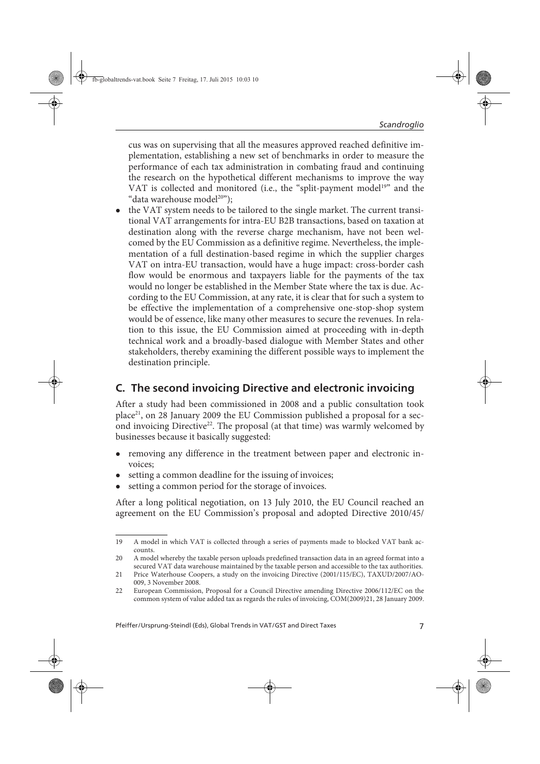cus was on supervising that all the measures approved reached definitive implementation, establishing a new set of benchmarks in order to measure the performance of each tax administration in combating fraud and continuing the research on the hypothetical different mechanisms to improve the way VAT is collected and monitored (i.e., the "split-payment model<sup>19"</sup> and the "data warehouse model<sup>20"</sup>);

• the VAT system needs to be tailored to the single market. The current transitional VAT arrangements for intra-EU B2B transactions, based on taxation at destination along with the reverse charge mechanism, have not been welcomed by the EU Commission as a definitive regime. Nevertheless, the implementation of a full destination-based regime in which the supplier charges VAT on intra-EU transaction, would have a huge impact: cross-border cash flow would be enormous and taxpayers liable for the payments of the tax would no longer be established in the Member State where the tax is due. According to the EU Commission, at any rate, it is clear that for such a system to be effective the implementation of a comprehensive one-stop-shop system would be of essence, like many other measures to secure the revenues. In relation to this issue, the EU Commission aimed at proceeding with in-depth technical work and a broadly-based dialogue with Member States and other stakeholders, thereby examining the different possible ways to implement the destination principle.

### **C. The second invoicing Directive and electronic invoicing**

After a study had been commissioned in 2008 and a public consultation took place<sup>21</sup>, on 28 January 2009 the EU Commission published a proposal for a second invoicing Directive<sup>22</sup>. The proposal (at that time) was warmly welcomed by businesses because it basically suggested:

- removing any difference in the treatment between paper and electronic invoices;
- setting a common deadline for the issuing of invoices;
- setting a common period for the storage of invoices.

After a long political negotiation, on 13 July 2010, the EU Council reached an agreement on the EU Commission's proposal and adopted Directive 2010/45/

Pfeiffer/Ursprung-Steindl (Eds), Global Trends in VAT/GST and Direct Taxes 7

<sup>19</sup> A model in which VAT is collected through a series of payments made to blocked VAT bank accounts.

<sup>20</sup> A model whereby the taxable person uploads predefined transaction data in an agreed format into a secured VAT data warehouse maintained by the taxable person and accessible to the tax authorities.

<sup>21</sup> Price Waterhouse Coopers, a study on the invoicing Directive (2001/115/EC), TAXUD/2007/AO-009, 3 November 2008.

<sup>22</sup> European Commission, Proposal for a Council Directive amending Directive 2006/112/EC on the common system of value added tax as regards the rules of invoicing, COM(2009)21, 28 January 2009.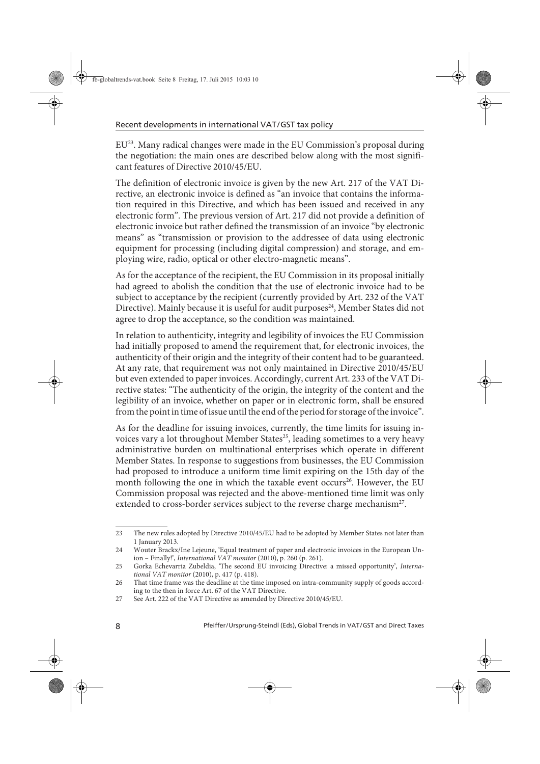EU23. Many radical changes were made in the EU Commission's proposal during the negotiation: the main ones are described below along with the most significant features of Directive 2010/45/EU.

The definition of electronic invoice is given by the new Art. 217 of the VAT Directive, an electronic invoice is defined as "an invoice that contains the information required in this Directive, and which has been issued and received in any electronic form". The previous version of Art. 217 did not provide a definition of electronic invoice but rather defined the transmission of an invoice "by electronic means" as "transmission or provision to the addressee of data using electronic equipment for processing (including digital compression) and storage, and employing wire, radio, optical or other electro-magnetic means".

As for the acceptance of the recipient, the EU Commission in its proposal initially had agreed to abolish the condition that the use of electronic invoice had to be subject to acceptance by the recipient (currently provided by Art. 232 of the VAT Directive). Mainly because it is useful for audit purposes<sup>24</sup>, Member States did not agree to drop the acceptance, so the condition was maintained.

In relation to authenticity, integrity and legibility of invoices the EU Commission had initially proposed to amend the requirement that, for electronic invoices, the authenticity of their origin and the integrity of their content had to be guaranteed. At any rate, that requirement was not only maintained in Directive 2010/45/EU but even extended to paper invoices. Accordingly, current Art. 233 of the VAT Directive states: "The authenticity of the origin, the integrity of the content and the legibility of an invoice, whether on paper or in electronic form, shall be ensured from the point in time of issue until the end of the period for storage of the invoice".

As for the deadline for issuing invoices, currently, the time limits for issuing invoices vary a lot throughout Member States<sup>25</sup>, leading sometimes to a very heavy administrative burden on multinational enterprises which operate in different Member States. In response to suggestions from businesses, the EU Commission had proposed to introduce a uniform time limit expiring on the 15th day of the month following the one in which the taxable event occurs<sup>26</sup>. However, the EU Commission proposal was rejected and the above-mentioned time limit was only extended to cross-border services subject to the reverse charge mechanism<sup>27</sup>.

<sup>23</sup> The new rules adopted by Directive 2010/45/EU had to be adopted by Member States not later than 1 January 2013.

<sup>24</sup> Wouter Brackx/Ine Lejeune, 'Equal treatment of paper and electronic invoices in the European Union – Finally!', International VAT monitor (2010), p. 260 (p. 261).

<sup>25</sup> Gorka Echevarria Zubeldia, 'The second EU invoicing Directive: a missed opportunity', International VAT monitor (2010), p. 417 (p. 418).

<sup>26</sup> That time frame was the deadline at the time imposed on intra-community supply of goods according to the then in force Art. 67 of the VAT Directive.

<sup>27</sup> See Art. 222 of the VAT Directive as amended by Directive 2010/45/EU.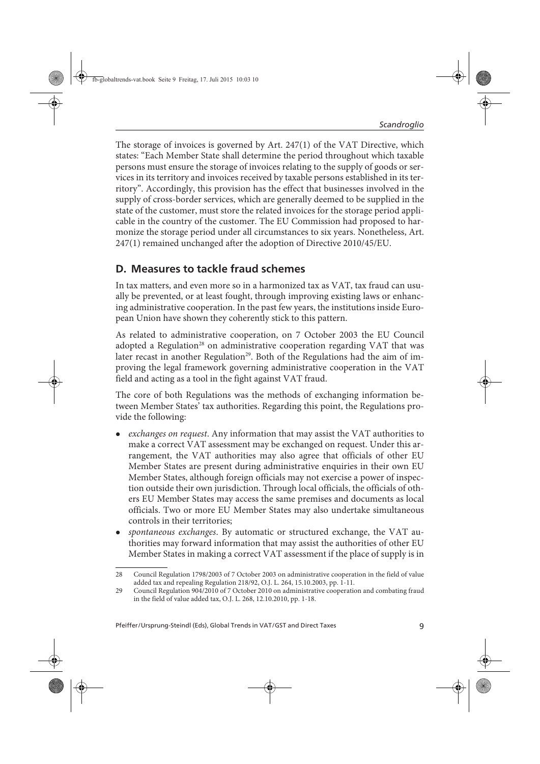The storage of invoices is governed by Art. 247(1) of the VAT Directive, which states: "Each Member State shall determine the period throughout which taxable persons must ensure the storage of invoices relating to the supply of goods or services in its territory and invoices received by taxable persons established in its territory". Accordingly, this provision has the effect that businesses involved in the supply of cross-border services, which are generally deemed to be supplied in the state of the customer, must store the related invoices for the storage period applicable in the country of the customer. The EU Commission had proposed to harmonize the storage period under all circumstances to six years. Nonetheless, Art. 247(1) remained unchanged after the adoption of Directive 2010/45/EU.

## **D. Measures to tackle fraud schemes**

In tax matters, and even more so in a harmonized tax as VAT, tax fraud can usually be prevented, or at least fought, through improving existing laws or enhancing administrative cooperation. In the past few years, the institutions inside European Union have shown they coherently stick to this pattern.

As related to administrative cooperation, on 7 October 2003 the EU Council adopted a Regulation<sup>28</sup> on administrative cooperation regarding VAT that was later recast in another Regulation<sup>29</sup>. Both of the Regulations had the aim of improving the legal framework governing administrative cooperation in the VAT field and acting as a tool in the fight against VAT fraud.

The core of both Regulations was the methods of exchanging information between Member States' tax authorities. Regarding this point, the Regulations provide the following:

- *exchanges on request.* Any information that may assist the VAT authorities to make a correct VAT assessment may be exchanged on request. Under this arrangement, the VAT authorities may also agree that officials of other EU Member States are present during administrative enquiries in their own EU Member States, although foreign officials may not exercise a power of inspection outside their own jurisdiction. Through local officials, the officials of others EU Member States may access the same premises and documents as local officials. Two or more EU Member States may also undertake simultaneous controls in their territories;
- spontaneous exchanges. By automatic or structured exchange, the VAT authorities may forward information that may assist the authorities of other EU Member States in making a correct VAT assessment if the place of supply is in

<sup>28</sup> Council Regulation 1798/2003 of 7 October 2003 on administrative cooperation in the field of value added tax and repealing Regulation 218/92, O.J. L. 264, 15.10.2003, pp. 1-11.

<sup>29</sup> Council Regulation 904/2010 of 7 October 2010 on administrative cooperation and combating fraud in the field of value added tax, O.J. L. 268, 12.10.2010, pp. 1-18.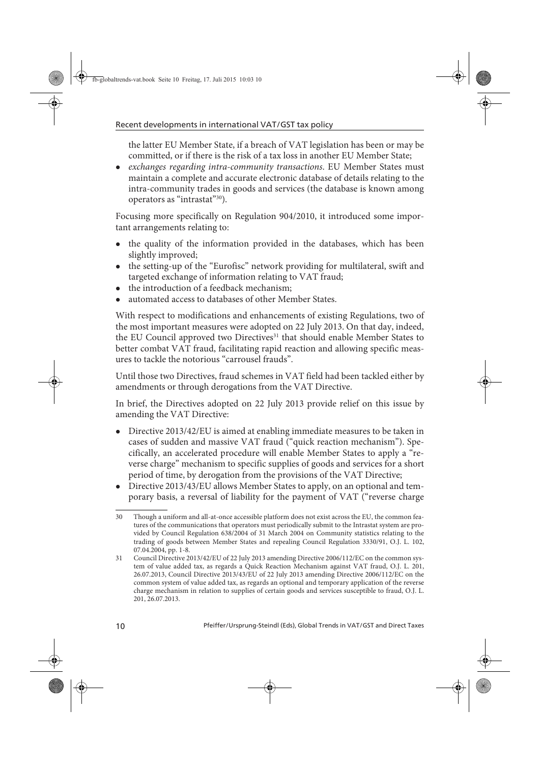the latter EU Member State, if a breach of VAT legislation has been or may be committed, or if there is the risk of a tax loss in another EU Member State;

• exchanges regarding intra-community transactions. EU Member States must maintain a complete and accurate electronic database of details relating to the intra-community trades in goods and services (the database is known among operators as "intrastat"30).

Focusing more specifically on Regulation 904/2010, it introduced some important arrangements relating to:

- the quality of the information provided in the databases, which has been slightly improved;
- the setting-up of the "Eurofisc" network providing for multilateral, swift and targeted exchange of information relating to VAT fraud;
- the introduction of a feedback mechanism;
- automated access to databases of other Member States.

With respect to modifications and enhancements of existing Regulations, two of the most important measures were adopted on 22 July 2013. On that day, indeed, the EU Council approved two Directives<sup>31</sup> that should enable Member States to better combat VAT fraud, facilitating rapid reaction and allowing specific measures to tackle the notorious "carrousel frauds".

Until those two Directives, fraud schemes in VAT field had been tackled either by amendments or through derogations from the VAT Directive.

In brief, the Directives adopted on 22 July 2013 provide relief on this issue by amending the VAT Directive:

- Directive 2013/42/EU is aimed at enabling immediate measures to be taken in cases of sudden and massive VAT fraud ("quick reaction mechanism"). Specifically, an accelerated procedure will enable Member States to apply a "reverse charge" mechanism to specific supplies of goods and services for a short period of time, by derogation from the provisions of the VAT Directive;
- Directive 2013/43/EU allows Member States to apply, on an optional and temporary basis, a reversal of liability for the payment of VAT ("reverse charge

<sup>30</sup> Though a uniform and all-at-once accessible platform does not exist across the EU, the common features of the communications that operators must periodically submit to the Intrastat system are provided by Council Regulation 638/2004 of 31 March 2004 on Community statistics relating to the trading of goods between Member States and repealing Council Regulation 3330/91, O.J. L. 102, 07.04.2004, pp. 1-8.

<sup>31</sup> Council Directive 2013/42/EU of 22 July 2013 amending Directive 2006/112/EC on the common system of value added tax, as regards a Quick Reaction Mechanism against VAT fraud, O.J. L. 201, 26.07.2013, Council Directive 2013/43/EU of 22 July 2013 amending Directive 2006/112/EC on the common system of value added tax, as regards an optional and temporary application of the reverse charge mechanism in relation to supplies of certain goods and services susceptible to fraud, O.J. L. 201, 26.07.2013.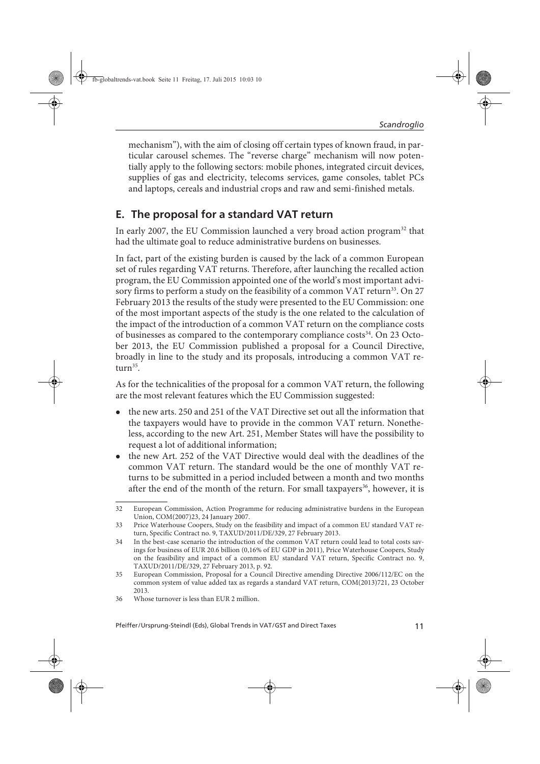mechanism"), with the aim of closing off certain types of known fraud, in particular carousel schemes. The "reverse charge" mechanism will now potentially apply to the following sectors: mobile phones, integrated circuit devices, supplies of gas and electricity, telecoms services, game consoles, tablet PCs and laptops, cereals and industrial crops and raw and semi-finished metals.

#### **E. The proposal for a standard VAT return**

In early 2007, the EU Commission launched a very broad action program<sup>32</sup> that had the ultimate goal to reduce administrative burdens on businesses.

In fact, part of the existing burden is caused by the lack of a common European set of rules regarding VAT returns. Therefore, after launching the recalled action program, the EU Commission appointed one of the world's most important advisory firms to perform a study on the feasibility of a common VAT return<sup>33</sup>. On 27 February 2013 the results of the study were presented to the EU Commission: one of the most important aspects of the study is the one related to the calculation of the impact of the introduction of a common VAT return on the compliance costs of businesses as compared to the contemporary compliance costs<sup>34</sup>. On 23 October 2013, the EU Commission published a proposal for a Council Directive, broadly in line to the study and its proposals, introducing a common VAT return $35$ .

As for the technicalities of the proposal for a common VAT return, the following are the most relevant features which the EU Commission suggested:

- the new arts. 250 and 251 of the VAT Directive set out all the information that the taxpayers would have to provide in the common VAT return. Nonetheless, according to the new Art. 251, Member States will have the possibility to request a lot of additional information;
- the new Art. 252 of the VAT Directive would deal with the deadlines of the common VAT return. The standard would be the one of monthly VAT returns to be submitted in a period included between a month and two months after the end of the month of the return. For small taxpayers<sup>36</sup>, however, it is

<sup>32</sup> European Commission, Action Programme for reducing administrative burdens in the European Union, COM(2007)23, 24 January 2007.

<sup>33</sup> Price Waterhouse Coopers, Study on the feasibility and impact of a common EU standard VAT return, Specific Contract no. 9, TAXUD/2011/DE/329, 27 February 2013.

<sup>34</sup> In the best-case scenario the introduction of the common VAT return could lead to total costs savings for business of EUR 20.6 billion (0,16% of EU GDP in 2011), Price Waterhouse Coopers, Study on the feasibility and impact of a common EU standard VAT return, Specific Contract no. 9, TAXUD/2011/DE/329, 27 February 2013, p. 92.

<sup>35</sup> European Commission, Proposal for a Council Directive amending Directive 2006/112/EC on the common system of value added tax as regards a standard VAT return, COM(2013)721, 23 October 2013.

<sup>36</sup> Whose turnover is less than EUR 2 million.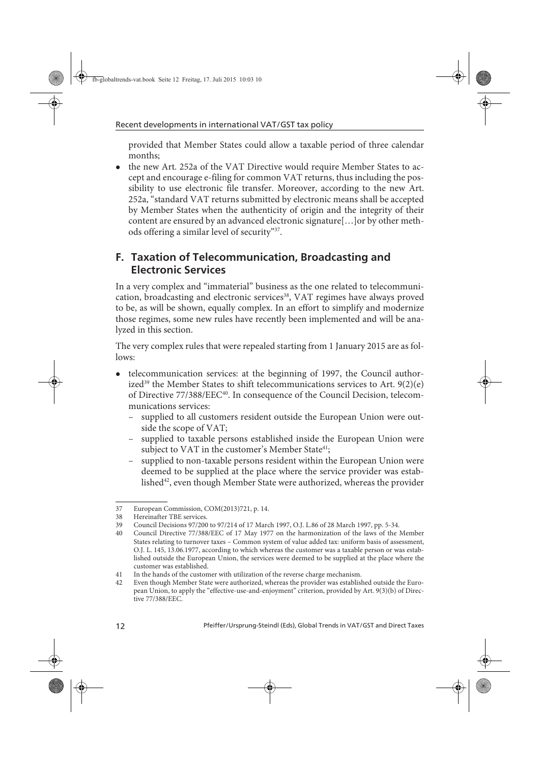provided that Member States could allow a taxable period of three calendar months;

• the new Art. 252a of the VAT Directive would require Member States to accept and encourage e-filing for common VAT returns, thus including the possibility to use electronic file transfer. Moreover, according to the new Art. 252a, "standard VAT returns submitted by electronic means shall be accepted by Member States when the authenticity of origin and the integrity of their content are ensured by an advanced electronic signature[…]or by other methods offering a similar level of security"37.

## **F. Taxation of Telecommunication, Broadcasting and Electronic Services**

In a very complex and "immaterial" business as the one related to telecommunication, broadcasting and electronic services<sup>38</sup>, VAT regimes have always proved to be, as will be shown, equally complex. In an effort to simplify and modernize those regimes, some new rules have recently been implemented and will be analyzed in this section.

The very complex rules that were repealed starting from 1 January 2015 are as follows:

- telecommunication services: at the beginning of 1997, the Council authorized<sup>39</sup> the Member States to shift telecommunications services to Art.  $9(2)(e)$ of Directive 77/388/EEC<sup>40</sup>. In consequence of the Council Decision, telecommunications services:
	- supplied to all customers resident outside the European Union were outside the scope of VAT;
	- supplied to taxable persons established inside the European Union were subject to VAT in the customer's Member State<sup>41</sup>;
	- supplied to non-taxable persons resident within the European Union were deemed to be supplied at the place where the service provider was established<sup>42</sup>, even though Member State were authorized, whereas the provider

<sup>37</sup> European Commission, COM(2013)721, p. 14.

<sup>38</sup> Hereinafter TBE services.

<sup>39</sup> Council Decisions 97/200 to 97/214 of 17 March 1997, O.J. L.86 of 28 March 1997, pp. 5-34.

<sup>40</sup> Council Directive 77/388/EEC of 17 May 1977 on the harmonization of the laws of the Member States relating to turnover taxes – Common system of value added tax: uniform basis of assessment, O.J. L. 145, 13.06.1977, according to which whereas the customer was a taxable person or was established outside the European Union, the services were deemed to be supplied at the place where the customer was established.

<sup>41</sup> In the hands of the customer with utilization of the reverse charge mechanism.

<sup>42</sup> Even though Member State were authorized, whereas the provider was established outside the European Union, to apply the "effective-use-and-enjoyment" criterion, provided by Art. 9(3)(b) of Directive 77/388/EEC.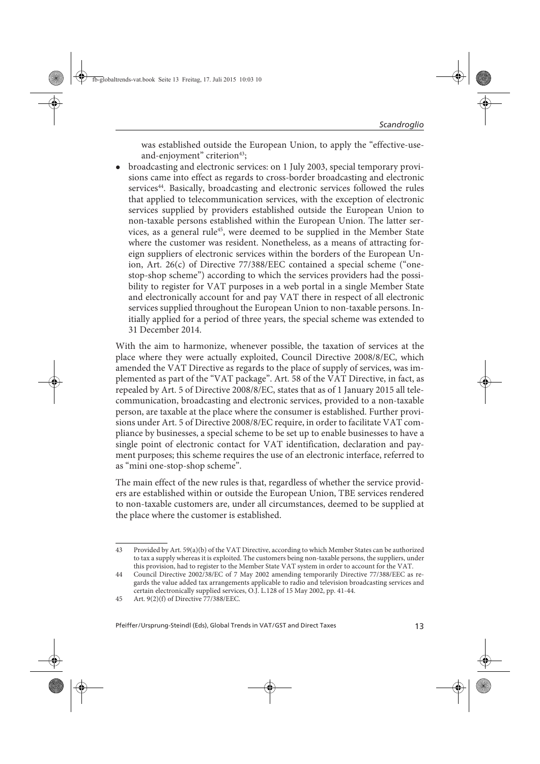was established outside the European Union, to apply the "effective-useand-enjoyment" criterion $43$ ;

 broadcasting and electronic services: on 1 July 2003, special temporary provisions came into effect as regards to cross-border broadcasting and electronic services<sup>44</sup>. Basically, broadcasting and electronic services followed the rules that applied to telecommunication services, with the exception of electronic services supplied by providers established outside the European Union to non-taxable persons established within the European Union. The latter services, as a general rule<sup>45</sup>, were deemed to be supplied in the Member State where the customer was resident. Nonetheless, as a means of attracting foreign suppliers of electronic services within the borders of the European Union, Art. 26(c) of Directive 77/388/EEC contained a special scheme ("onestop-shop scheme") according to which the services providers had the possibility to register for VAT purposes in a web portal in a single Member State and electronically account for and pay VAT there in respect of all electronic services supplied throughout the European Union to non-taxable persons. Initially applied for a period of three years, the special scheme was extended to 31 December 2014.

With the aim to harmonize, whenever possible, the taxation of services at the place where they were actually exploited, Council Directive 2008/8/EC, which amended the VAT Directive as regards to the place of supply of services, was implemented as part of the "VAT package". Art. 58 of the VAT Directive, in fact, as repealed by Art. 5 of Directive 2008/8/EC, states that as of 1 January 2015 all telecommunication, broadcasting and electronic services, provided to a non-taxable person, are taxable at the place where the consumer is established. Further provisions under Art. 5 of Directive 2008/8/EC require, in order to facilitate VAT compliance by businesses, a special scheme to be set up to enable businesses to have a single point of electronic contact for VAT identification, declaration and payment purposes; this scheme requires the use of an electronic interface, referred to as "mini one-stop-shop scheme".

The main effect of the new rules is that, regardless of whether the service providers are established within or outside the European Union, TBE services rendered to non-taxable customers are, under all circumstances, deemed to be supplied at the place where the customer is established.

<sup>43</sup> Provided by Art. 59(a)(b) of the VAT Directive, according to which Member States can be authorized to tax a supply whereas it is exploited. The customers being non-taxable persons, the suppliers, under this provision, had to register to the Member State VAT system in order to account for the VAT.

<sup>44</sup> Council Directive 2002/38/EC of 7 May 2002 amending temporarily Directive 77/388/EEC as regards the value added tax arrangements applicable to radio and television broadcasting services and certain electronically supplied services, O.J. L.128 of 15 May 2002, pp. 41-44.

<sup>45</sup> Art. 9(2)(f) of Directive 77/388/EEC.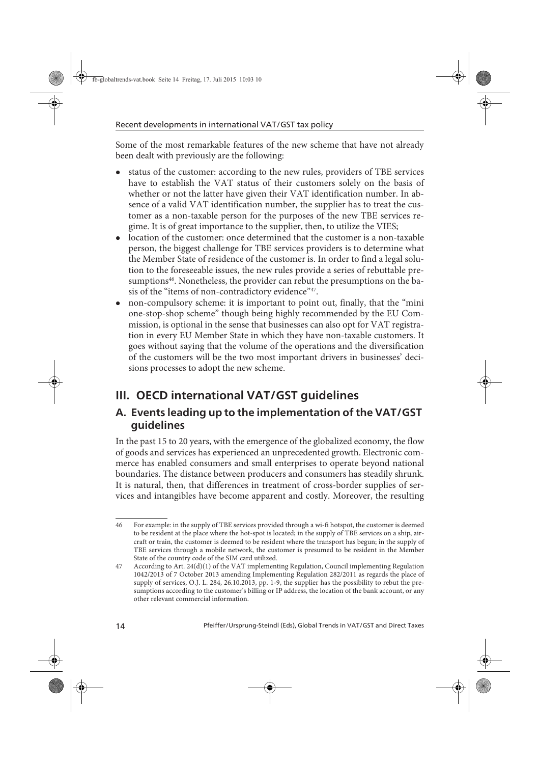Some of the most remarkable features of the new scheme that have not already been dealt with previously are the following:

- status of the customer: according to the new rules, providers of TBE services have to establish the VAT status of their customers solely on the basis of whether or not the latter have given their VAT identification number. In absence of a valid VAT identification number, the supplier has to treat the customer as a non-taxable person for the purposes of the new TBE services regime. It is of great importance to the supplier, then, to utilize the VIES;
- location of the customer: once determined that the customer is a non-taxable person, the biggest challenge for TBE services providers is to determine what the Member State of residence of the customer is. In order to find a legal solution to the foreseeable issues, the new rules provide a series of rebuttable presumptions<sup>46</sup>. Nonetheless, the provider can rebut the presumptions on the basis of the "items of non-contradictory evidence"<sup>47</sup>.
- non-compulsory scheme: it is important to point out, finally, that the "mini one-stop-shop scheme" though being highly recommended by the EU Commission, is optional in the sense that businesses can also opt for VAT registration in every EU Member State in which they have non-taxable customers. It goes without saying that the volume of the operations and the diversification of the customers will be the two most important drivers in businesses' decisions processes to adopt the new scheme.

# **III. OECD international VAT/GST guidelines**

#### **A. Events leading up to the implementation of the VAT/GST guidelines**

In the past 15 to 20 years, with the emergence of the globalized economy, the flow of goods and services has experienced an unprecedented growth. Electronic commerce has enabled consumers and small enterprises to operate beyond national boundaries. The distance between producers and consumers has steadily shrunk. It is natural, then, that differences in treatment of cross-border supplies of services and intangibles have become apparent and costly. Moreover, the resulting

<sup>46</sup> For example: in the supply of TBE services provided through a wi-fi hotspot, the customer is deemed to be resident at the place where the hot-spot is located; in the supply of TBE services on a ship, aircraft or train, the customer is deemed to be resident where the transport has begun; in the supply of TBE services through a mobile network, the customer is presumed to be resident in the Member State of the country code of the SIM card utilized.

<sup>47</sup> According to Art. 24(d)(1) of the VAT implementing Regulation, Council implementing Regulation 1042/2013 of 7 October 2013 amending Implementing Regulation 282/2011 as regards the place of supply of services, O.J. L. 284, 26.10.2013, pp. 1-9, the supplier has the possibility to rebut the presumptions according to the customer's billing or IP address, the location of the bank account, or any other relevant commercial information.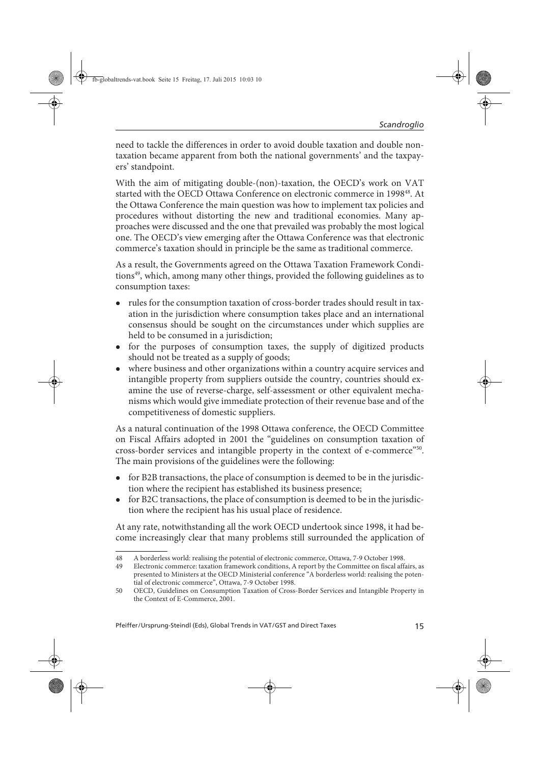need to tackle the differences in order to avoid double taxation and double nontaxation became apparent from both the national governments' and the taxpayers' standpoint.

With the aim of mitigating double-(non)-taxation, the OECD's work on VAT started with the OECD Ottawa Conference on electronic commerce in 1998<sup>48</sup>. At the Ottawa Conference the main question was how to implement tax policies and procedures without distorting the new and traditional economies. Many approaches were discussed and the one that prevailed was probably the most logical one. The OECD's view emerging after the Ottawa Conference was that electronic commerce's taxation should in principle be the same as traditional commerce.

As a result, the Governments agreed on the Ottawa Taxation Framework Conditions<sup>49</sup>, which, among many other things, provided the following guidelines as to consumption taxes:

- rules for the consumption taxation of cross-border trades should result in taxation in the jurisdiction where consumption takes place and an international consensus should be sought on the circumstances under which supplies are held to be consumed in a jurisdiction;
- for the purposes of consumption taxes, the supply of digitized products should not be treated as a supply of goods;
- where business and other organizations within a country acquire services and intangible property from suppliers outside the country, countries should examine the use of reverse-charge, self-assessment or other equivalent mechanisms which would give immediate protection of their revenue base and of the competitiveness of domestic suppliers.

As a natural continuation of the 1998 Ottawa conference, the OECD Committee on Fiscal Affairs adopted in 2001 the "guidelines on consumption taxation of cross-border services and intangible property in the context of e-commerce"50. The main provisions of the guidelines were the following:

- for B2B transactions, the place of consumption is deemed to be in the jurisdiction where the recipient has established its business presence;
- for B2C transactions, the place of consumption is deemed to be in the jurisdiction where the recipient has his usual place of residence.

At any rate, notwithstanding all the work OECD undertook since 1998, it had become increasingly clear that many problems still surrounded the application of

<sup>48</sup> A borderless world: realising the potential of electronic commerce, Ottawa, 7-9 October 1998.

<sup>49</sup> Electronic commerce: taxation framework conditions, A report by the Committee on fiscal affairs, as presented to Ministers at the OECD Ministerial conference "A borderless world: realising the potential of electronic commerce", Ottawa, 7-9 October 1998.

<sup>50</sup> OECD, Guidelines on Consumption Taxation of Cross-Border Services and Intangible Property in the Context of E-Commerce, 2001.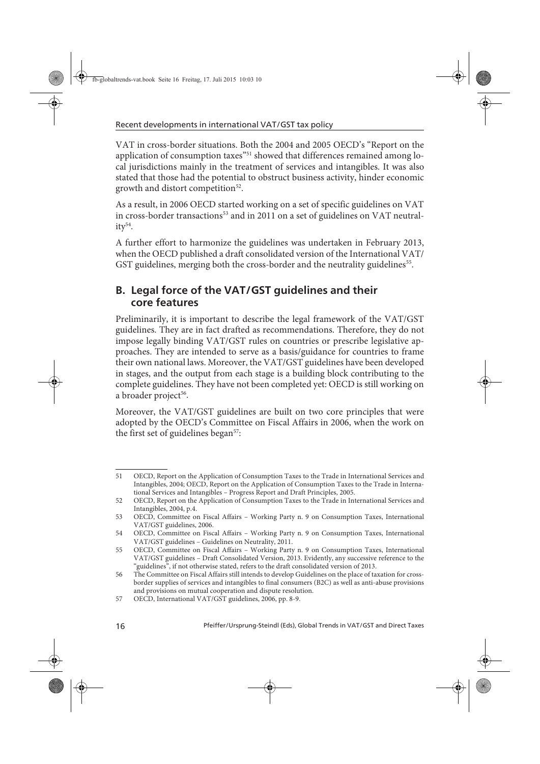VAT in cross-border situations. Both the 2004 and 2005 OECD's "Report on the application of consumption taxes"<sup>51</sup> showed that differences remained among local jurisdictions mainly in the treatment of services and intangibles. It was also stated that those had the potential to obstruct business activity, hinder economic growth and distort competition<sup>52</sup>.

As a result, in 2006 OECD started working on a set of specific guidelines on VAT in cross-border transactions<sup>53</sup> and in 2011 on a set of guidelines on VAT neutrality<sup>54</sup>.

A further effort to harmonize the guidelines was undertaken in February 2013, when the OECD published a draft consolidated version of the International VAT/ GST guidelines, merging both the cross-border and the neutrality guidelines<sup>55</sup>.

#### **B. Legal force of the VAT/GST guidelines and their core features**

Preliminarily, it is important to describe the legal framework of the VAT/GST guidelines. They are in fact drafted as recommendations. Therefore, they do not impose legally binding VAT/GST rules on countries or prescribe legislative approaches. They are intended to serve as a basis/guidance for countries to frame their own national laws. Moreover, the VAT/GST guidelines have been developed in stages, and the output from each stage is a building block contributing to the complete guidelines. They have not been completed yet: OECD is still working on a broader project<sup>56</sup>.

Moreover, the VAT/GST guidelines are built on two core principles that were adopted by the OECD's Committee on Fiscal Affairs in 2006, when the work on the first set of guidelines began<sup>57</sup>:

<sup>51</sup> OECD, Report on the Application of Consumption Taxes to the Trade in International Services and Intangibles, 2004; OECD, Report on the Application of Consumption Taxes to the Trade in International Services and Intangibles – Progress Report and Draft Principles, 2005.

<sup>52</sup> OECD, Report on the Application of Consumption Taxes to the Trade in International Services and Intangibles, 2004, p.4.

<sup>53</sup> OECD, Committee on Fiscal Affairs – Working Party n. 9 on Consumption Taxes, International VAT/GST guidelines, 2006.

<sup>54</sup> OECD, Committee on Fiscal Affairs – Working Party n. 9 on Consumption Taxes, International VAT/GST guidelines – Guidelines on Neutrality, 2011.

<sup>55</sup> OECD, Committee on Fiscal Affairs – Working Party n. 9 on Consumption Taxes, International VAT/GST guidelines – Draft Consolidated Version, 2013. Evidently, any successive reference to the "guidelines", if not otherwise stated, refers to the draft consolidated version of 2013.

<sup>56</sup> The Committee on Fiscal Affairs still intends to develop Guidelines on the place of taxation for crossborder supplies of services and intangibles to final consumers (B2C) as well as anti-abuse provisions and provisions on mutual cooperation and dispute resolution.

<sup>57</sup> OECD, International VAT/GST guidelines, 2006, pp. 8-9.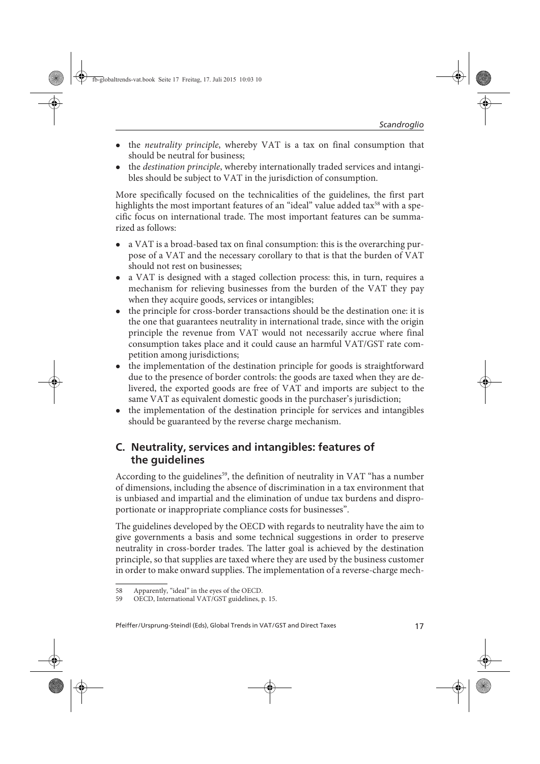- the *neutrality principle*, whereby VAT is a tax on final consumption that should be neutral for business;
- the *destination principle*, whereby internationally traded services and intangibles should be subject to VAT in the jurisdiction of consumption.

More specifically focused on the technicalities of the guidelines, the first part highlights the most important features of an "ideal" value added tax<sup>58</sup> with a specific focus on international trade. The most important features can be summarized as follows:

- a VAT is a broad-based tax on final consumption: this is the overarching purpose of a VAT and the necessary corollary to that is that the burden of VAT should not rest on businesses;
- a VAT is designed with a staged collection process: this, in turn, requires a mechanism for relieving businesses from the burden of the VAT they pay when they acquire goods, services or intangibles;
- the principle for cross-border transactions should be the destination one: it is the one that guarantees neutrality in international trade, since with the origin principle the revenue from VAT would not necessarily accrue where final consumption takes place and it could cause an harmful VAT/GST rate competition among jurisdictions;
- the implementation of the destination principle for goods is straightforward due to the presence of border controls: the goods are taxed when they are delivered, the exported goods are free of VAT and imports are subject to the same VAT as equivalent domestic goods in the purchaser's jurisdiction;
- the implementation of the destination principle for services and intangibles should be guaranteed by the reverse charge mechanism.

#### **C. Neutrality, services and intangibles: features of the guidelines**

According to the guidelines<sup>59</sup>, the definition of neutrality in VAT "has a number of dimensions, including the absence of discrimination in a tax environment that is unbiased and impartial and the elimination of undue tax burdens and disproportionate or inappropriate compliance costs for businesses".

The guidelines developed by the OECD with regards to neutrality have the aim to give governments a basis and some technical suggestions in order to preserve neutrality in cross-border trades. The latter goal is achieved by the destination principle, so that supplies are taxed where they are used by the business customer in order to make onward supplies. The implementation of a reverse-charge mech-

<sup>58</sup> Apparently, "ideal" in the eyes of the OECD.

<sup>59</sup> OECD, International VAT/GST guidelines, p. 15.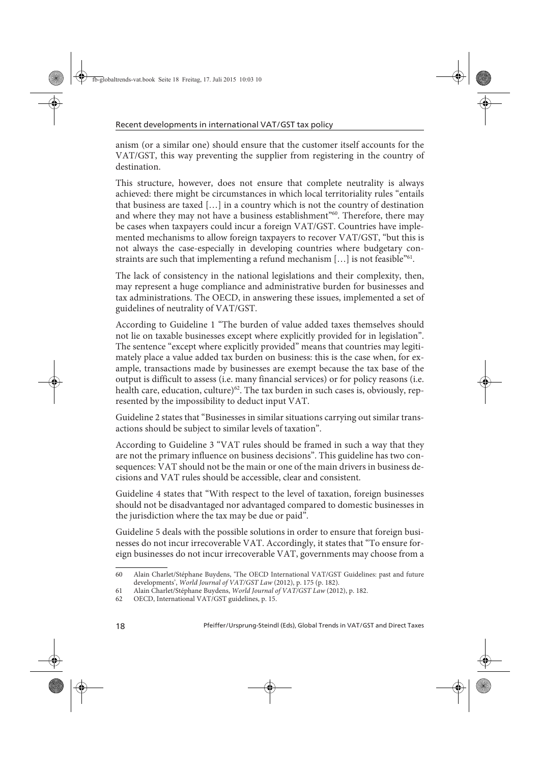anism (or a similar one) should ensure that the customer itself accounts for the VAT/GST, this way preventing the supplier from registering in the country of destination.

This structure, however, does not ensure that complete neutrality is always achieved: there might be circumstances in which local territoriality rules "entails that business are taxed […] in a country which is not the country of destination and where they may not have a business establishment<sup>"60</sup>. Therefore, there may be cases when taxpayers could incur a foreign VAT/GST. Countries have implemented mechanisms to allow foreign taxpayers to recover VAT/GST, "but this is not always the case-especially in developing countries where budgetary constraints are such that implementing a refund mechanism [...] is not feasible<sup>"61</sup>.

The lack of consistency in the national legislations and their complexity, then, may represent a huge compliance and administrative burden for businesses and tax administrations. The OECD, in answering these issues, implemented a set of guidelines of neutrality of VAT/GST.

According to Guideline 1 "The burden of value added taxes themselves should not lie on taxable businesses except where explicitly provided for in legislation". The sentence "except where explicitly provided" means that countries may legitimately place a value added tax burden on business: this is the case when, for example, transactions made by businesses are exempt because the tax base of the output is difficult to assess (i.e. many financial services) or for policy reasons (i.e. health care, education, culture)<sup>62</sup>. The tax burden in such cases is, obviously, represented by the impossibility to deduct input VAT.

Guideline 2 states that "Businesses in similar situations carrying out similar transactions should be subject to similar levels of taxation".

According to Guideline 3 "VAT rules should be framed in such a way that they are not the primary influence on business decisions". This guideline has two consequences: VAT should not be the main or one of the main drivers in business decisions and VAT rules should be accessible, clear and consistent.

Guideline 4 states that "With respect to the level of taxation, foreign businesses should not be disadvantaged nor advantaged compared to domestic businesses in the jurisdiction where the tax may be due or paid".

Guideline 5 deals with the possible solutions in order to ensure that foreign businesses do not incur irrecoverable VAT. Accordingly, it states that "To ensure foreign businesses do not incur irrecoverable VAT, governments may choose from a

<sup>60</sup> Alain Charlet/Stéphane Buydens, 'The OECD International VAT/GST Guidelines: past and future developments', World Journal of VAT/GST Law (2012), p. 175 (p. 182).

<sup>61</sup> Alain Charlet/Stéphane Buydens, World Journal of VAT/GST Law (2012), p. 182.

<sup>62</sup> OECD, International VAT/GST guidelines, p. 15.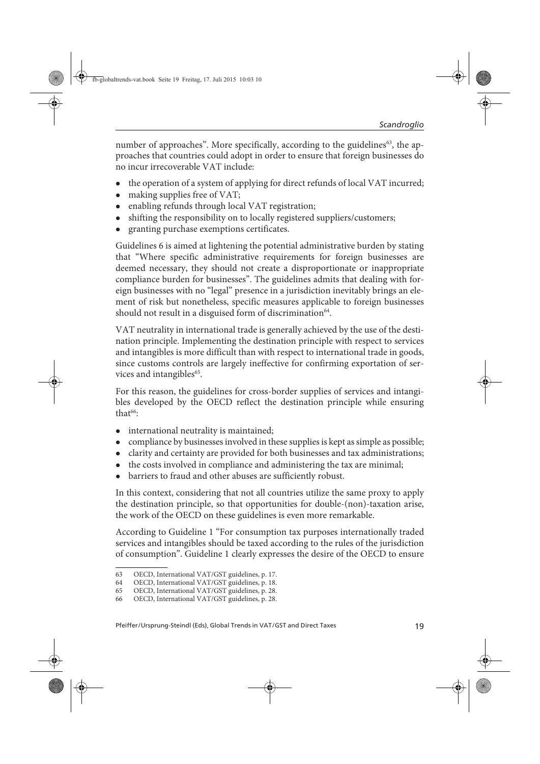number of approaches". More specifically, according to the guidelines<sup>63</sup>, the approaches that countries could adopt in order to ensure that foreign businesses do no incur irrecoverable VAT include:

- the operation of a system of applying for direct refunds of local VAT incurred;
- making supplies free of VAT;
- enabling refunds through local VAT registration;
- shifting the responsibility on to locally registered suppliers/customers;
- granting purchase exemptions certificates.

Guidelines 6 is aimed at lightening the potential administrative burden by stating that "Where specific administrative requirements for foreign businesses are deemed necessary, they should not create a disproportionate or inappropriate compliance burden for businesses". The guidelines admits that dealing with foreign businesses with no "legal" presence in a jurisdiction inevitably brings an element of risk but nonetheless, specific measures applicable to foreign businesses should not result in a disguised form of discrimination<sup>64</sup>.

VAT neutrality in international trade is generally achieved by the use of the destination principle. Implementing the destination principle with respect to services and intangibles is more difficult than with respect to international trade in goods, since customs controls are largely ineffective for confirming exportation of services and intangibles<sup>65</sup>.

For this reason, the guidelines for cross-border supplies of services and intangibles developed by the OECD reflect the destination principle while ensuring that $66$ .

- international neutrality is maintained;
- compliance by businesses involved in these supplies is kept as simple as possible;
- clarity and certainty are provided for both businesses and tax administrations;
- the costs involved in compliance and administering the tax are minimal;
- barriers to fraud and other abuses are sufficiently robust.

In this context, considering that not all countries utilize the same proxy to apply the destination principle, so that opportunities for double-(non)-taxation arise, the work of the OECD on these guidelines is even more remarkable.

According to Guideline 1 "For consumption tax purposes internationally traded services and intangibles should be taxed according to the rules of the jurisdiction of consumption". Guideline 1 clearly expresses the desire of the OECD to ensure

<sup>63</sup> OECD, International VAT/GST guidelines, p. 17.

<sup>64</sup> OECD, International VAT/GST guidelines, p. 18.

<sup>65</sup> OECD, International VAT/GST guidelines, p. 28.

<sup>66</sup> OECD, International VAT/GST guidelines, p. 28.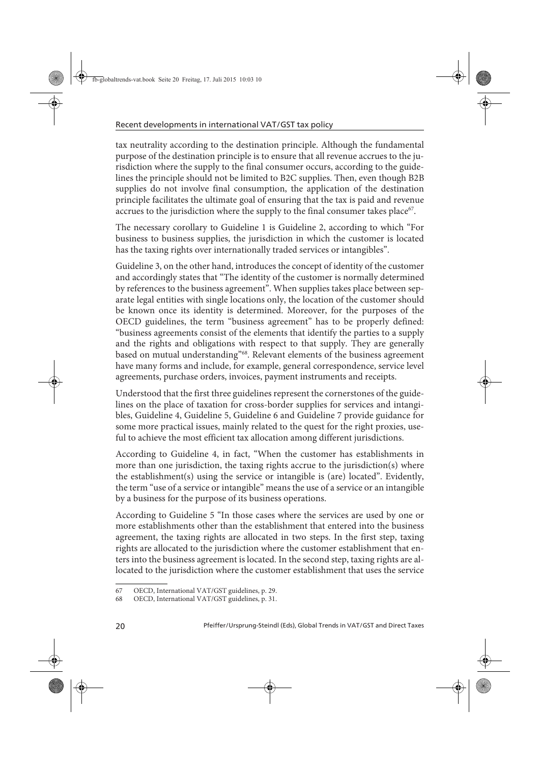tax neutrality according to the destination principle. Although the fundamental purpose of the destination principle is to ensure that all revenue accrues to the jurisdiction where the supply to the final consumer occurs, according to the guidelines the principle should not be limited to B2C supplies. Then, even though B2B supplies do not involve final consumption, the application of the destination principle facilitates the ultimate goal of ensuring that the tax is paid and revenue accrues to the jurisdiction where the supply to the final consumer takes place<sup>67</sup>.

The necessary corollary to Guideline 1 is Guideline 2, according to which "For business to business supplies, the jurisdiction in which the customer is located has the taxing rights over internationally traded services or intangibles".

Guideline 3, on the other hand, introduces the concept of identity of the customer and accordingly states that "The identity of the customer is normally determined by references to the business agreement". When supplies takes place between separate legal entities with single locations only, the location of the customer should be known once its identity is determined. Moreover, for the purposes of the OECD guidelines, the term "business agreement" has to be properly defined: "business agreements consist of the elements that identify the parties to a supply and the rights and obligations with respect to that supply. They are generally based on mutual understanding"68. Relevant elements of the business agreement have many forms and include, for example, general correspondence, service level agreements, purchase orders, invoices, payment instruments and receipts.

Understood that the first three guidelines represent the cornerstones of the guidelines on the place of taxation for cross-border supplies for services and intangibles, Guideline 4, Guideline 5, Guideline 6 and Guideline 7 provide guidance for some more practical issues, mainly related to the quest for the right proxies, useful to achieve the most efficient tax allocation among different jurisdictions.

According to Guideline 4, in fact, "When the customer has establishments in more than one jurisdiction, the taxing rights accrue to the jurisdiction(s) where the establishment(s) using the service or intangible is (are) located". Evidently, the term "use of a service or intangible" means the use of a service or an intangible by a business for the purpose of its business operations.

According to Guideline 5 "In those cases where the services are used by one or more establishments other than the establishment that entered into the business agreement, the taxing rights are allocated in two steps. In the first step, taxing rights are allocated to the jurisdiction where the customer establishment that enters into the business agreement is located. In the second step, taxing rights are allocated to the jurisdiction where the customer establishment that uses the service

<sup>67</sup> OECD, International VAT/GST guidelines, p. 29.

<sup>68</sup> OECD, International VAT/GST guidelines, p. 31.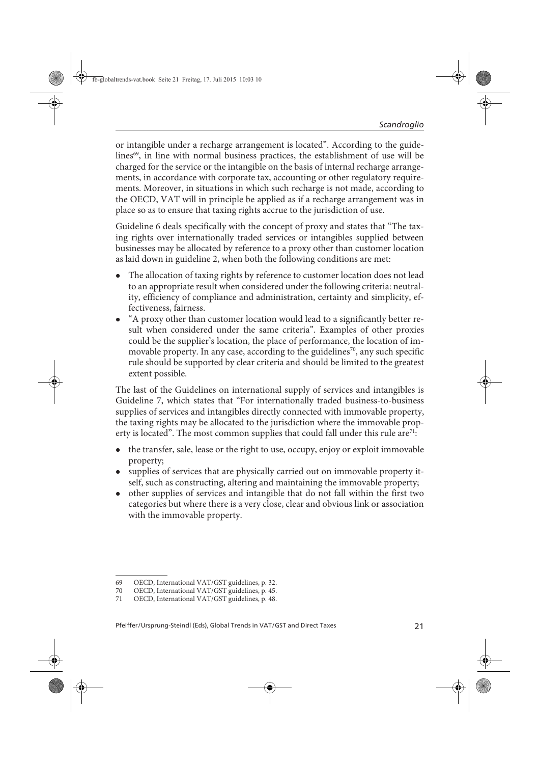or intangible under a recharge arrangement is located". According to the guidelines<sup>69</sup>, in line with normal business practices, the establishment of use will be charged for the service or the intangible on the basis of internal recharge arrangements, in accordance with corporate tax, accounting or other regulatory requirements. Moreover, in situations in which such recharge is not made, according to the OECD, VAT will in principle be applied as if a recharge arrangement was in place so as to ensure that taxing rights accrue to the jurisdiction of use.

Guideline 6 deals specifically with the concept of proxy and states that "The taxing rights over internationally traded services or intangibles supplied between businesses may be allocated by reference to a proxy other than customer location as laid down in guideline 2, when both the following conditions are met:

- The allocation of taxing rights by reference to customer location does not lead to an appropriate result when considered under the following criteria: neutrality, efficiency of compliance and administration, certainty and simplicity, effectiveness, fairness.
- "A proxy other than customer location would lead to a significantly better result when considered under the same criteria". Examples of other proxies could be the supplier's location, the place of performance, the location of immovable property. In any case, according to the guidelines<sup>70</sup>, any such specific rule should be supported by clear criteria and should be limited to the greatest extent possible.

The last of the Guidelines on international supply of services and intangibles is Guideline 7, which states that "For internationally traded business-to-business supplies of services and intangibles directly connected with immovable property, the taxing rights may be allocated to the jurisdiction where the immovable property is located". The most common supplies that could fall under this rule are<sup>71</sup>:

- the transfer, sale, lease or the right to use, occupy, enjoy or exploit immovable property;
- supplies of services that are physically carried out on immovable property itself, such as constructing, altering and maintaining the immovable property;
- other supplies of services and intangible that do not fall within the first two categories but where there is a very close, clear and obvious link or association with the immovable property.

<sup>69</sup> OECD, International VAT/GST guidelines, p. 32.

<sup>70</sup> OECD, International VAT/GST guidelines, p. 45.

<sup>71</sup> OECD, International VAT/GST guidelines, p. 48.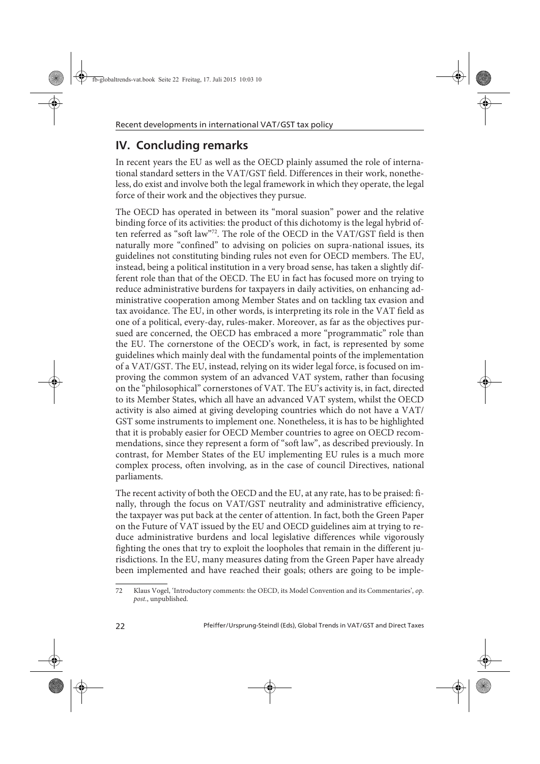# **IV. Concluding remarks**

In recent years the EU as well as the OECD plainly assumed the role of international standard setters in the VAT/GST field. Differences in their work, nonetheless, do exist and involve both the legal framework in which they operate, the legal force of their work and the objectives they pursue.

The OECD has operated in between its "moral suasion" power and the relative binding force of its activities: the product of this dichotomy is the legal hybrid often referred as "soft law"72. The role of the OECD in the VAT/GST field is then naturally more "confined" to advising on policies on supra-national issues, its guidelines not constituting binding rules not even for OECD members. The EU, instead, being a political institution in a very broad sense, has taken a slightly different role than that of the OECD. The EU in fact has focused more on trying to reduce administrative burdens for taxpayers in daily activities, on enhancing administrative cooperation among Member States and on tackling tax evasion and tax avoidance. The EU, in other words, is interpreting its role in the VAT field as one of a political, every-day, rules-maker. Moreover, as far as the objectives pursued are concerned, the OECD has embraced a more "programmatic" role than the EU. The cornerstone of the OECD's work, in fact, is represented by some guidelines which mainly deal with the fundamental points of the implementation of a VAT/GST. The EU, instead, relying on its wider legal force, is focused on improving the common system of an advanced VAT system, rather than focusing on the "philosophical" cornerstones of VAT. The EU's activity is, in fact, directed to its Member States, which all have an advanced VAT system, whilst the OECD activity is also aimed at giving developing countries which do not have a VAT/ GST some instruments to implement one. Nonetheless, it is has to be highlighted that it is probably easier for OECD Member countries to agree on OECD recommendations, since they represent a form of "soft law", as described previously. In contrast, for Member States of the EU implementing EU rules is a much more complex process, often involving, as in the case of council Directives, national parliaments.

The recent activity of both the OECD and the EU, at any rate, has to be praised: finally, through the focus on VAT/GST neutrality and administrative efficiency, the taxpayer was put back at the center of attention. In fact, both the Green Paper on the Future of VAT issued by the EU and OECD guidelines aim at trying to reduce administrative burdens and local legislative differences while vigorously fighting the ones that try to exploit the loopholes that remain in the different jurisdictions. In the EU, many measures dating from the Green Paper have already been implemented and have reached their goals; others are going to be imple-

<sup>72</sup> Klaus Vogel, 'Introductory comments: the OECD, its Model Convention and its Commentaries', op. post., unpublished.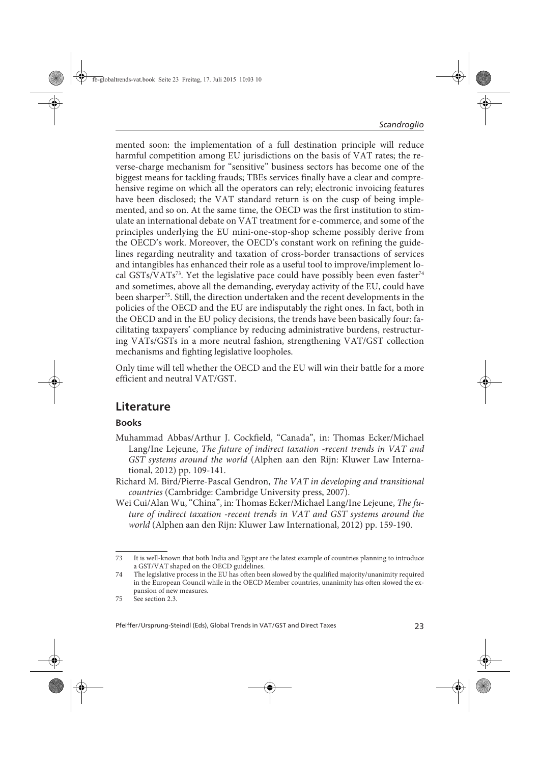mented soon: the implementation of a full destination principle will reduce harmful competition among EU jurisdictions on the basis of VAT rates; the reverse-charge mechanism for "sensitive" business sectors has become one of the biggest means for tackling frauds; TBEs services finally have a clear and comprehensive regime on which all the operators can rely; electronic invoicing features have been disclosed; the VAT standard return is on the cusp of being implemented, and so on. At the same time, the OECD was the first institution to stimulate an international debate on VAT treatment for e-commerce, and some of the principles underlying the EU mini-one-stop-shop scheme possibly derive from the OECD's work. Moreover, the OECD's constant work on refining the guidelines regarding neutrality and taxation of cross-border transactions of services and intangibles has enhanced their role as a useful tool to improve/implement local GSTs/VATs<sup>73</sup>. Yet the legislative pace could have possibly been even faster<sup>74</sup> and sometimes, above all the demanding, everyday activity of the EU, could have been sharper<sup>75</sup>. Still, the direction undertaken and the recent developments in the policies of the OECD and the EU are indisputably the right ones. In fact, both in the OECD and in the EU policy decisions, the trends have been basically four: facilitating taxpayers' compliance by reducing administrative burdens, restructuring VATs/GSTs in a more neutral fashion, strengthening VAT/GST collection mechanisms and fighting legislative loopholes.

Only time will tell whether the OECD and the EU will win their battle for a more efficient and neutral VAT/GST.

## **Literature**

#### **Books**

- Muhammad Abbas/Arthur J. Cockfield, "Canada", in: Thomas Ecker/Michael Lang/Ine Lejeune, The future of indirect taxation -recent trends in VAT and GST systems around the world (Alphen aan den Rijn: Kluwer Law International, 2012) pp. 109-141.
- Richard M. Bird/Pierre-Pascal Gendron, The VAT in developing and transitional countries (Cambridge: Cambridge University press, 2007).
- Wei Cui/Alan Wu, "China", in: Thomas Ecker/Michael Lang/Ine Lejeune, The future of indirect taxation -recent trends in VAT and GST systems around the world (Alphen aan den Rijn: Kluwer Law International, 2012) pp. 159-190.

<sup>73</sup> It is well-known that both India and Egypt are the latest example of countries planning to introduce a GST/VAT shaped on the OECD guidelines.

<sup>74</sup> The legislative process in the EU has often been slowed by the qualified majority/unanimity required in the European Council while in the OECD Member countries, unanimity has often slowed the expansion of new measures.

<sup>75</sup> See section 2.3.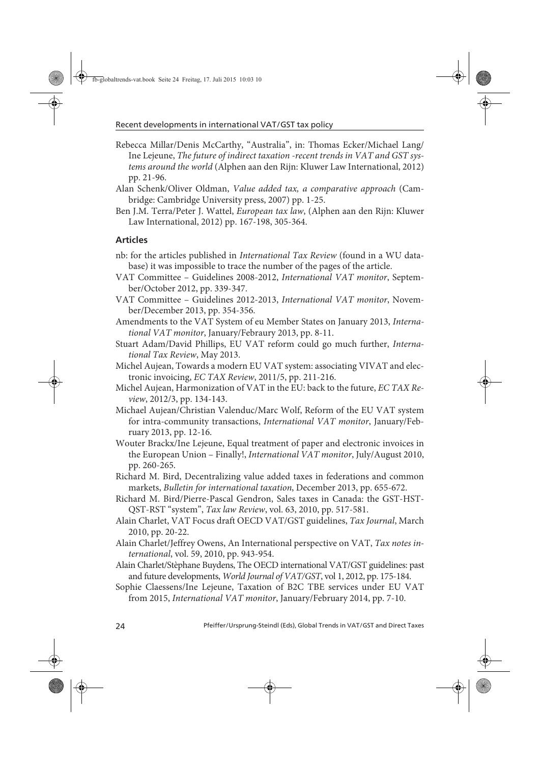- Rebecca Millar/Denis McCarthy, "Australia", in: Thomas Ecker/Michael Lang/ Ine Lejeune, The future of indirect taxation -recent trends in VAT and GST systems around the world (Alphen aan den Rijn: Kluwer Law International, 2012) pp. 21-96.
- Alan Schenk/Oliver Oldman, Value added tax, a comparative approach (Cambridge: Cambridge University press, 2007) pp. 1-25.
- Ben J.M. Terra/Peter J. Wattel, European tax law, (Alphen aan den Rijn: Kluwer Law International, 2012) pp. 167-198, 305-364.

#### **Articles**

- nb: for the articles published in International Tax Review (found in a WU database) it was impossible to trace the number of the pages of the article.
- VAT Committee Guidelines 2008-2012, International VAT monitor, September/October 2012, pp. 339-347.
- VAT Committee Guidelines 2012-2013, International VAT monitor, November/December 2013, pp. 354-356.
- Amendments to the VAT System of eu Member States on January 2013, International VAT monitor, January/Febraury 2013, pp. 8-11.
- Stuart Adam/David Phillips, EU VAT reform could go much further, International Tax Review, May 2013.
- Michel Aujean, Towards a modern EU VAT system: associating VIVAT and electronic invoicing, EC TAX Review, 2011/5, pp. 211-216.
- Michel Aujean, Harmonization of VAT in the EU: back to the future, EC TAX Review, 2012/3, pp. 134-143.
- Michael Aujean/Christian Valenduc/Marc Wolf, Reform of the EU VAT system for intra-community transactions, International VAT monitor, January/February 2013, pp. 12-16.
- Wouter Brackx/Ine Lejeune, Equal treatment of paper and electronic invoices in the European Union – Finally!, International VAT monitor, July/August 2010, pp. 260-265.
- Richard M. Bird, Decentralizing value added taxes in federations and common markets, Bulletin for international taxation, December 2013, pp. 655-672.
- Richard M. Bird/Pierre-Pascal Gendron, Sales taxes in Canada: the GST-HST-QST-RST "system", Tax law Review, vol. 63, 2010, pp. 517-581.
- Alain Charlet, VAT Focus draft OECD VAT/GST guidelines, Tax Journal, March 2010, pp. 20-22.
- Alain Charlet/Jeffrey Owens, An International perspective on VAT, Tax notes international, vol. 59, 2010, pp. 943-954.
- Alain Charlet/Stèphane Buydens, The OECD international VAT/GST guidelines: past and future developments, World Journal of VAT/GST, vol 1, 2012, pp. 175-184.
- Sophie Claessens/Ine Lejeune, Taxation of B2C TBE services under EU VAT from 2015, International VAT monitor, January/February 2014, pp. 7-10.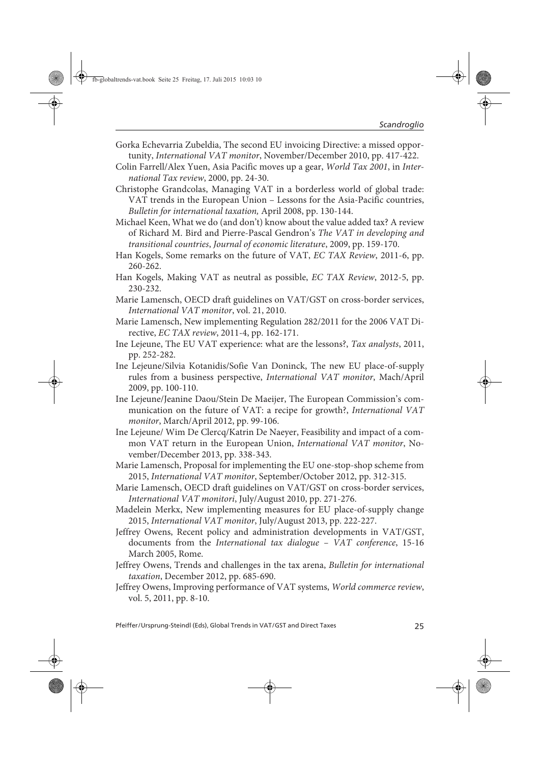- Gorka Echevarria Zubeldia, The second EU invoicing Directive: a missed opportunity, International VAT monitor, November/December 2010, pp. 417-422.
- Colin Farrell/Alex Yuen, Asia Pacific moves up a gear, World Tax 2001, in International Tax review, 2000, pp. 24-30.
- Christophe Grandcolas, Managing VAT in a borderless world of global trade: VAT trends in the European Union – Lessons for the Asia-Pacific countries, Bulletin for international taxation, April 2008, pp. 130-144.
- Michael Keen, What we do (and don't) know about the value added tax? A review of Richard M. Bird and Pierre-Pascal Gendron's The VAT in developing and transitional countries, Journal of economic literature, 2009, pp. 159-170.
- Han Kogels, Some remarks on the future of VAT, EC TAX Review, 2011-6, pp. 260-262.
- Han Kogels, Making VAT as neutral as possible, EC TAX Review, 2012-5, pp. 230-232.
- Marie Lamensch, OECD draft guidelines on VAT/GST on cross-border services, International VAT monitor, vol. 21, 2010.
- Marie Lamensch, New implementing Regulation 282/2011 for the 2006 VAT Directive, EC TAX review, 2011-4, pp. 162-171.
- Ine Lejeune, The EU VAT experience: what are the lessons?, Tax analysts, 2011, pp. 252-282.
- Ine Lejeune/Silvia Kotanidis/Sofie Van Doninck, The new EU place-of-supply rules from a business perspective, International VAT monitor, Mach/April 2009, pp. 100-110.
- Ine Lejeune/Jeanine Daou/Stein De Maeijer, The European Commission's communication on the future of VAT: a recipe for growth?, International VAT monitor, March/April 2012, pp. 99-106.
- Ine Lejeune/ Wim De Clercq/Katrin De Naeyer, Feasibility and impact of a common VAT return in the European Union, International VAT monitor, November/December 2013, pp. 338-343.
- Marie Lamensch, Proposal for implementing the EU one-stop-shop scheme from 2015, International VAT monitor, September/October 2012, pp. 312-315.
- Marie Lamensch, OECD draft guidelines on VAT/GST on cross-border services, International VAT monitori, July/August 2010, pp. 271-276.
- Madelein Merkx, New implementing measures for EU place-of-supply change 2015, International VAT monitor, July/August 2013, pp. 222-227.
- Jeffrey Owens, Recent policy and administration developments in VAT/GST, documents from the International tax dialogue – VAT conference, 15-16 March 2005, Rome.
- Jeffrey Owens, Trends and challenges in the tax arena, Bulletin for international taxation, December 2012, pp. 685-690.
- Jeffrey Owens, Improving performance of VAT systems, World commerce review, vol. 5, 2011, pp. 8-10.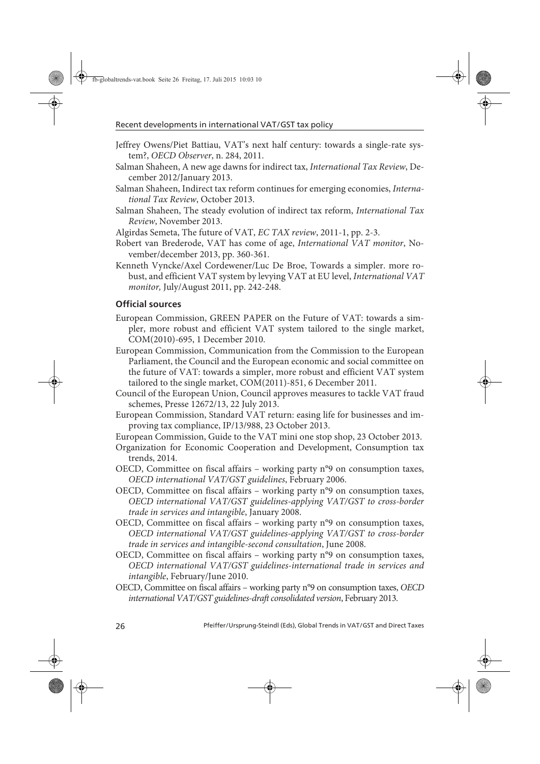- Jeffrey Owens/Piet Battiau, VAT's next half century: towards a single-rate system?, OECD Observer, n. 284, 2011.
- Salman Shaheen, A new age dawns for indirect tax, International Tax Review, December 2012/January 2013.
- Salman Shaheen, Indirect tax reform continues for emerging economies, International Tax Review, October 2013.
- Salman Shaheen, The steady evolution of indirect tax reform, International Tax Review, November 2013.

Algirdas Semeta, The future of VAT, EC TAX review, 2011-1, pp. 2-3.

- Robert van Brederode, VAT has come of age, International VAT monitor, November/december 2013, pp. 360-361.
- Kenneth Vyncke/Axel Cordewener/Luc De Broe, Towards a simpler. more robust, and efficient VAT system by levying VAT at EU level, International VAT monitor, July/August 2011, pp. 242-248.

#### **Official sources**

- European Commission, GREEN PAPER on the Future of VAT: towards a simpler, more robust and efficient VAT system tailored to the single market, COM(2010)-695, 1 December 2010.
- European Commission, Communication from the Commission to the European Parliament, the Council and the European economic and social committee on the future of VAT: towards a simpler, more robust and efficient VAT system tailored to the single market, COM(2011)-851, 6 December 2011.
- Council of the European Union, Council approves measures to tackle VAT fraud schemes, Presse 12672/13, 22 July 2013.
- European Commission, Standard VAT return: easing life for businesses and improving tax compliance, IP/13/988, 23 October 2013.
- European Commission, Guide to the VAT mini one stop shop, 23 October 2013.
- Organization for Economic Cooperation and Development, Consumption tax trends, 2014.
- OECD, Committee on fiscal affairs working party n°9 on consumption taxes, OECD international VAT/GST guidelines, February 2006.
- OECD, Committee on fiscal affairs working party n°9 on consumption taxes, OECD international VAT/GST guidelines-applying VAT/GST to cross-border trade in services and intangible, January 2008.
- OECD, Committee on fiscal affairs working party n°9 on consumption taxes, OECD international VAT/GST guidelines-applying VAT/GST to cross-border trade in services and intangible-second consultation, June 2008.
- OECD, Committee on fiscal affairs working party n°9 on consumption taxes, OECD international VAT/GST guidelines-international trade in services and intangible, February/June 2010.
- OECD, Committee on fiscal affairs working party n°9 on consumption taxes, OECD international VAT/GST guidelines-draft consolidated version, February 2013.